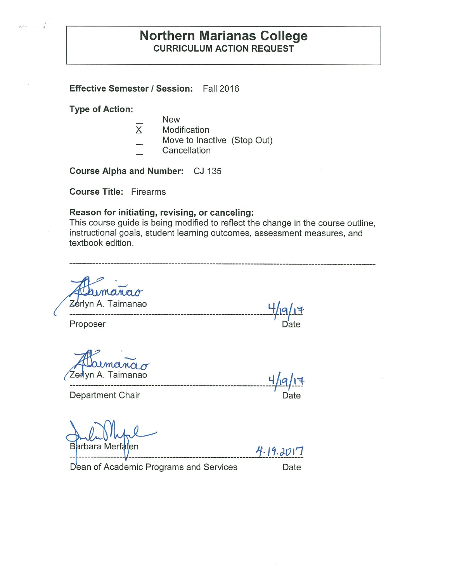# **Northern Marianas College CURRICULUM ACTION REQUEST**

**Effective Semester/ Session:** Fall 2016

**Type of Action:** 

- New
- $\overline{X}$ Modification
- Move to Inactive (Stop Out)
- **Cancellation**

**Course Alpha and Number:** CJ 135

**Course Title:** Firearms

### **Reason for initiating, revising, or canceling:**

This course guide is being modified to reflect the change in the course outline, instructional goals, student learning outcomes, assessment measures, and textbook edition.

manar Zérlyn A. Taimanao **------------------------------------------------------------4/iq/l":f**  Proposer Date Z yn A. Taimanao **a..f***J.* / -=t- **----------------------------------------------------------------------f-lql** -- Department Chair **Department** Chair Barbara Merfalen  $\ddot{q}$ . I9. JO 17 Dean of Academic Programs and Services Date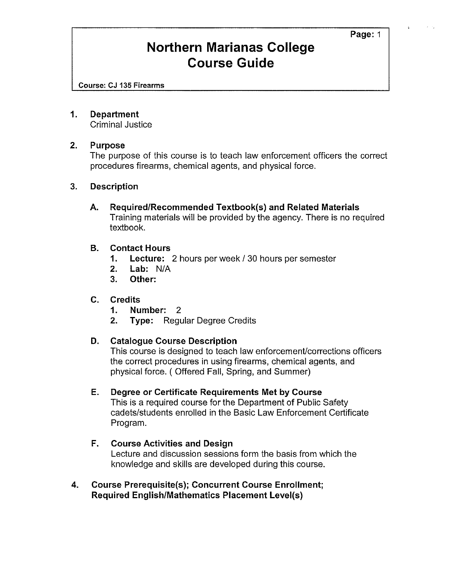**Page:** 1

# **Northern Marianas College Course Guide**

**Course: CJ 135 Firearms** 

### **1. Department**

Criminal Justice

### **2. Purpose**

The purpose of this course is to teach law enforcement officers the correct procedures firearms, chemical agents, and physical force.

### **3. Description**

**A. Required/Recommended Textbook(s) and Related Materials**  Training materials will be provided by the agency. There is no required textbook.

# **B. Contact Hours**

- **1.** Lecture: 2 hours per week / 30 hours per semester
- **2. Lab:** NIA
- **3. Other:**

#### **C. Credits**

- **1. Number:** 2
- **2. Type:** Regular Degree Credits

#### **D. Catalogue Course Description**

This course is designed to teach law enforcement/corrections officers the correct procedures in using firearms, chemical agents, and physical force. ( Offered Fall, Spring, and Summer)

#### **E. Degree or Certificate Requirements Met by Course**

This is a required course for the Department of Public Safety cadets/students enrolled in the Basic Law Enforcement Certificate Program.

# **F. Course Activities and Design**

Lecture and discussion sessions form the basis from which the knowledge and skills are developed during this course.

# **4. Course Prerequisite(s); Concurrent Course Enrollment; Required English/Mathematics Placement Level(s)**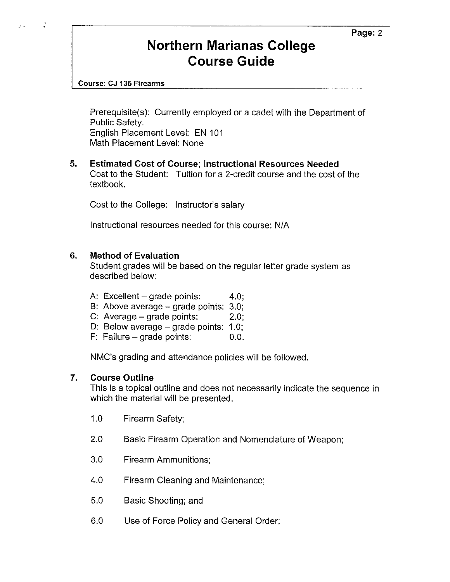# **Northern Marianas College Course Guide**

**Course: CJ 135 Firearms** 

 $\mathcal{A}$ 

Prerequisite(s): Currently employed or a cadet with the Department of Public Safety. English Placement Level: EN 101 Math Placement Level: None

**5. Estimated Cost of Course; Instructional Resources Needed**  Cost to the Student: Tuition for a 2-credit course and the cost of the textbook.

Cost to the College: Instructor's salary

Instructional resources needed for this course: N/A

### **6. Method of Evaluation**

Student grades will be based on the regular letter grade system as described below:

- A: Excellent  $-$  grade points:  $4.0$ ;
- B: Above average grade points: 3.0;
- C: Average  $-$  grade points:  $2.0$ ;
- D: Below average  $-$  grade points: 1.0;
- $F:$  Failure grade points:  $0.0$ .

NMC's grading and attendance policies will be followed.

#### **7. Course Outline**

This is a topical outline and does not necessarily indicate the sequence in which the material will be presented.

- 1.0 Firearm Safety;
- 2.0 Basic Firearm Operation and Nomenclature of Weapon;
- 3.0 Firearm Ammunitions;
- 4.0 Firearm Cleaning and Maintenance;
- 5.0 Basic Shooting; and
- 6.0 Use of Force Policy and General Order;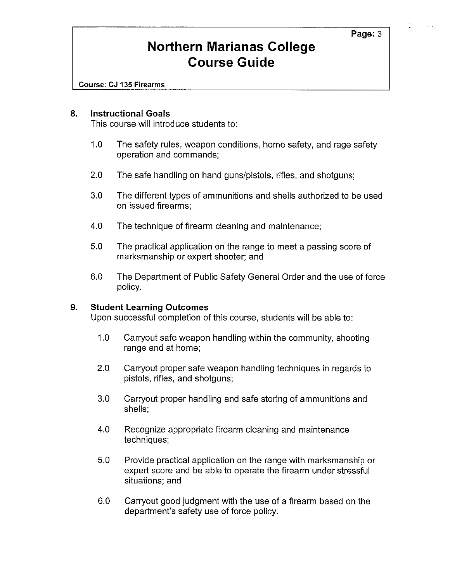**Page:3** 

# **Northern Marianas College Course Guide**

**Course: CJ 135 Firearms** 

#### **8. Instructional Goals**

This course will introduce students to:

- 1.0 The safety rules, weapon conditions, home safety, and rage safety operation and commands;
- 2.0 The safe handling on hand guns/pistols, rifles, and shotguns;
- 3.0 The different types of ammunitions and shells authorized to be used on issued firearms;
- 4.0 The technique of firearm cleaning and maintenance;
- 5.0 The practical application on the range to meet a passing score of marksmanship or expert shooter; and
- 6.0 The Department of Public Safety General Order and the use of force policy.

#### **9. Student Learning Outcomes**

Upon successful completion of this course, students will be able to:

- 1.0 Carryout safe weapon handling within the community, shooting range and at home;
- 2.0 Carryout proper safe weapon handling techniques in regards to pistols, rifles, and shotguns;
- 3.0 Carryout proper handling and safe storing of ammunitions and shells;
- 4.0 Recognize appropriate firearm cleaning and maintenance techniques;
- 5.0 Provide practical application on the range with marksmanship or expert score and be able to operate the firearm under stressful situations; and
- 6.0 Carryout good judgment with the use of a firearm based on the department's safety use of force policy.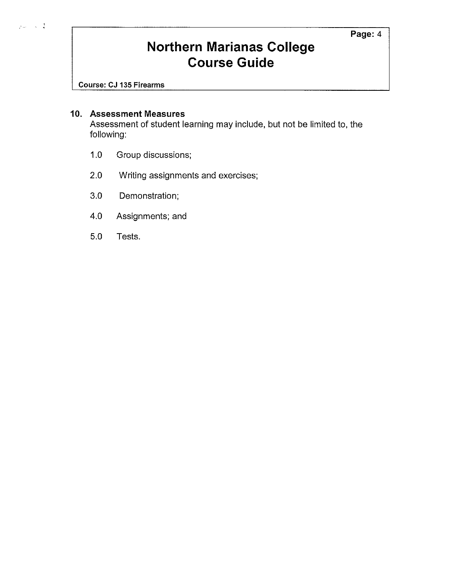# **Northern Marianas College Course Guide**

Course: CJ 135 Firearms

 $z=-\sqrt{1/4}$ 

### **10. Assessment Measures**

Assessment of student learning may include, but not be limited to, the following:

- 1.0 Group discussions;
- 2.0 Writing assignments and exercises;
- 3.0 Demonstration;
- 4.0 Assignments; and
- 5.0 Tests.